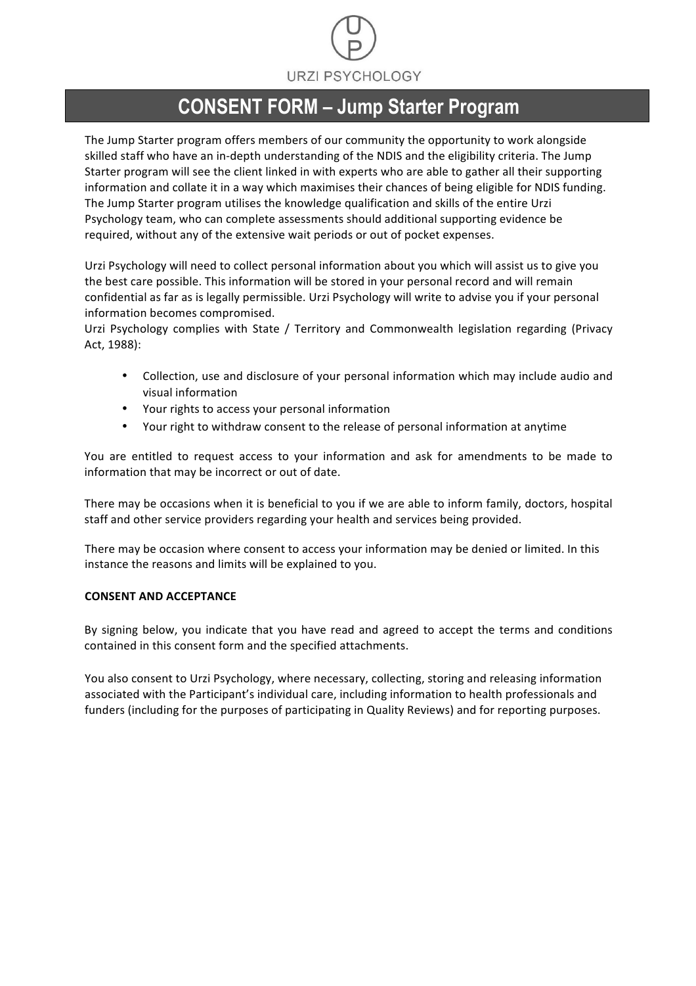

### **CONSENT FORM – Jump Starter Program**

The Jump Starter program offers members of our community the opportunity to work alongside skilled staff who have an in-depth understanding of the NDIS and the eligibility criteria. The Jump Starter program will see the client linked in with experts who are able to gather all their supporting information and collate it in a way which maximises their chances of being eligible for NDIS funding. The Jump Starter program utilises the knowledge qualification and skills of the entire Urzi Psychology team, who can complete assessments should additional supporting evidence be required, without any of the extensive wait periods or out of pocket expenses.

Urzi Psychology will need to collect personal information about you which will assist us to give you the best care possible. This information will be stored in your personal record and will remain confidential as far as is legally permissible. Urzi Psychology will write to advise you if your personal information becomes compromised.

Urzi Psychology complies with State / Territory and Commonwealth legislation regarding (Privacy Act, 1988):

- Collection, use and disclosure of your personal information which may include audio and visual information
- Your rights to access your personal information
- Your right to withdraw consent to the release of personal information at anytime

You are entitled to request access to your information and ask for amendments to be made to information that may be incorrect or out of date.

There may be occasions when it is beneficial to you if we are able to inform family, doctors, hospital staff and other service providers regarding your health and services being provided.

There may be occasion where consent to access your information may be denied or limited. In this instance the reasons and limits will be explained to you.

#### **CONSENT AND ACCEPTANCE**

By signing below, you indicate that you have read and agreed to accept the terms and conditions contained in this consent form and the specified attachments.

You also consent to Urzi Psychology, where necessary, collecting, storing and releasing information associated with the Participant's individual care, including information to health professionals and funders (including for the purposes of participating in Quality Reviews) and for reporting purposes.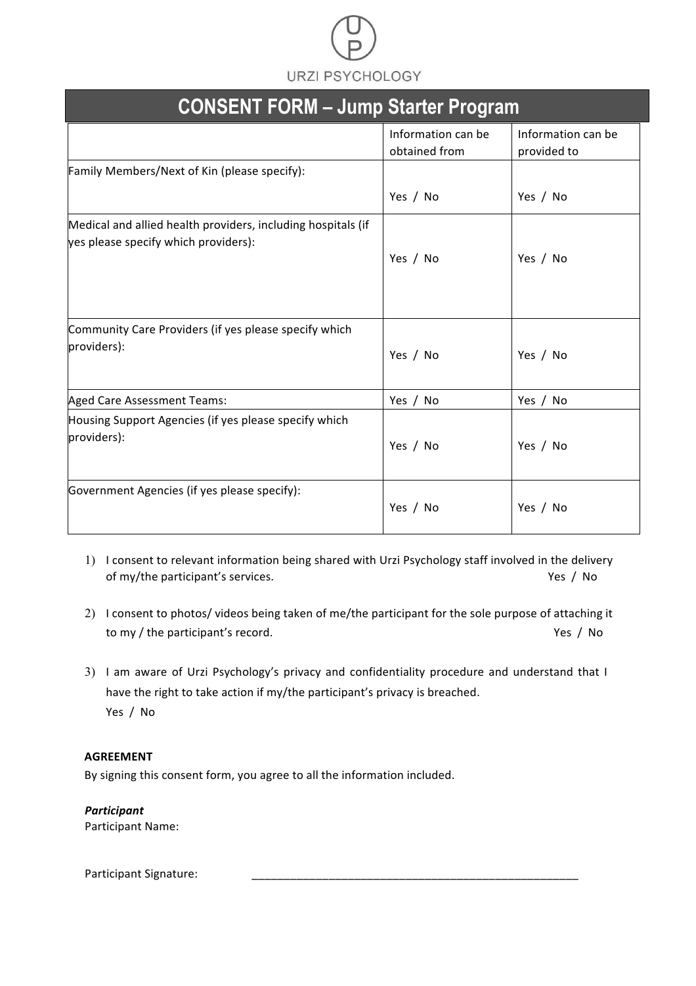# **URZI PSYCHOLOGY**

| <b>CONSENT FORM - Jump Starter Program</b>                                                           |                                     |                                   |
|------------------------------------------------------------------------------------------------------|-------------------------------------|-----------------------------------|
|                                                                                                      | Information can be<br>obtained from | Information can be<br>provided to |
| Family Members/Next of Kin (please specify):                                                         |                                     |                                   |
|                                                                                                      | Yes / No                            | Yes / No                          |
| Medical and allied health providers, including hospitals (if<br>yes please specify which providers): | Yes / No                            | Yes / No                          |
| Community Care Providers (if yes please specify which<br>providers):                                 | Yes / No                            | Yes / No                          |
| <b>Aged Care Assessment Teams:</b>                                                                   | Yes / No                            | Yes / No                          |
| Housing Support Agencies (if yes please specify which<br>providers):                                 | Yes / No                            | Yes / No                          |
| Government Agencies (if yes please specify):                                                         | Yes / No                            | Yes / No                          |

- 1) I consent to relevant information being shared with Urzi Psychology staff involved in the delivery of my/the participant's services. The second of my/the participant's services.
- 2) I consent to photos/ videos being taken of me/the participant for the sole purpose of attaching it to my / the participant's record. The second of the second of the second of the second of the second of the second of the second of the second of the second of the second of the second of the second of the second of the se
- 3) I am aware of Urzi Psychology's privacy and confidentiality procedure and understand that I have the right to take action if my/the participant's privacy is breached. Yes / No

### **AGREEMENT**

By signing this consent form, you agree to all the information included.

*Participant*  Participant Name:

Participant Signature: